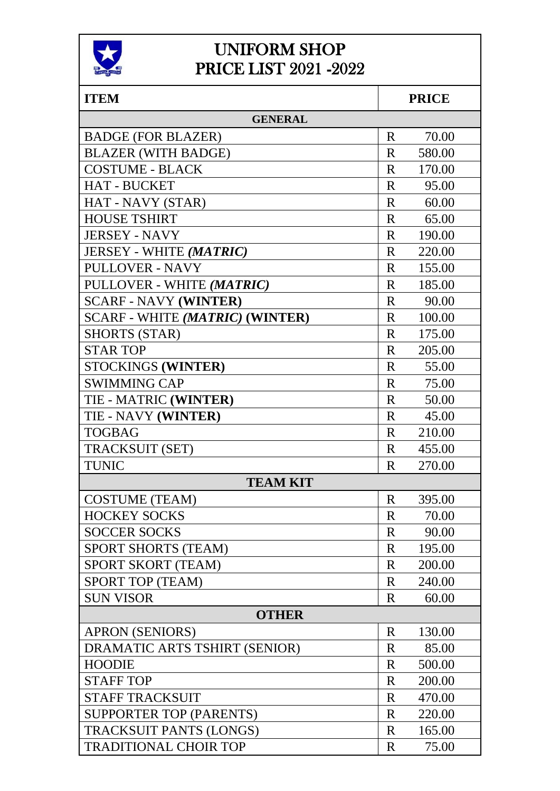

#### UNIFORM SHOP PRICE LIST 2021 -2022

| <b>ITEM</b>                            |              | <b>PRICE</b> |  |
|----------------------------------------|--------------|--------------|--|
| <b>GENERAL</b>                         |              |              |  |
| <b>BADGE (FOR BLAZER)</b>              | $\mathbf R$  | 70.00        |  |
| <b>BLAZER (WITH BADGE)</b>             | $\mathbf R$  | 580.00       |  |
| <b>COSTUME - BLACK</b>                 | $\mathbf R$  | 170.00       |  |
| <b>HAT - BUCKET</b>                    | $\mathbf R$  | 95.00        |  |
| HAT - NAVY (STAR)                      | R            | 60.00        |  |
| <b>HOUSE TSHIRT</b>                    | R            | 65.00        |  |
| <b>JERSEY - NAVY</b>                   | $\mathbf{R}$ | 190.00       |  |
| <b>JERSEY - WHITE (MATRIC)</b>         | $\mathbf{R}$ | 220.00       |  |
| <b>PULLOVER - NAVY</b>                 | $\mathbf R$  | 155.00       |  |
| PULLOVER - WHITE (MATRIC)              | $\mathbf{R}$ | 185.00       |  |
| <b>SCARF - NAVY (WINTER)</b>           | $\mathbf R$  | 90.00        |  |
| <b>SCARF - WHITE (MATRIC) (WINTER)</b> | R            | 100.00       |  |
| <b>SHORTS (STAR)</b>                   | $\mathbf{R}$ | 175.00       |  |
| <b>STAR TOP</b>                        | $\mathbf R$  | 205.00       |  |
| STOCKINGS (WINTER)                     | $\mathbf R$  | 55.00        |  |
| <b>SWIMMING CAP</b>                    | $\mathbf R$  | 75.00        |  |
| TIE - MATRIC (WINTER)                  | R            | 50.00        |  |
| <b>TIE - NAVY (WINTER)</b>             | $\rm R$      | 45.00        |  |
| <b>TOGBAG</b>                          | $\mathbf{R}$ | 210.00       |  |
| <b>TRACKSUIT (SET)</b>                 | $\mathbf{R}$ | 455.00       |  |
| <b>TUNIC</b>                           | $\mathbf R$  | 270.00       |  |
| <b>TEAM KIT</b>                        |              |              |  |
| <b>COSTUME (TEAM)</b>                  | R            | 395.00       |  |
| <b>HOCKEY SOCKS</b>                    | R            | 70.00        |  |
| <b>SOCCER SOCKS</b>                    | $\mathbf R$  | 90.00        |  |
| <b>SPORT SHORTS (TEAM)</b>             | $\mathbf R$  | 195.00       |  |
| SPORT SKORT (TEAM)                     | $\mathbf R$  | 200.00       |  |
| SPORT TOP (TEAM)                       | $\mathbf R$  | 240.00       |  |
| <b>SUN VISOR</b>                       | $\mathbf R$  | 60.00        |  |
| <b>OTHER</b>                           |              |              |  |
| <b>APRON (SENIORS)</b>                 | $\mathbf R$  | 130.00       |  |
| DRAMATIC ARTS TSHIRT (SENIOR)          | $\mathbf R$  | 85.00        |  |
| <b>HOODIE</b>                          | $\mathbf R$  | 500.00       |  |
| <b>STAFF TOP</b>                       | R            | 200.00       |  |
| <b>STAFF TRACKSUIT</b>                 | $\mathbf R$  | 470.00       |  |
| SUPPORTER TOP (PARENTS)                | $\mathbf R$  | 220.00       |  |
| <b>TRACKSUIT PANTS (LONGS)</b>         | $\mathbf R$  | 165.00       |  |
| <b>TRADITIONAL CHOIR TOP</b>           | $\mathbf R$  | 75.00        |  |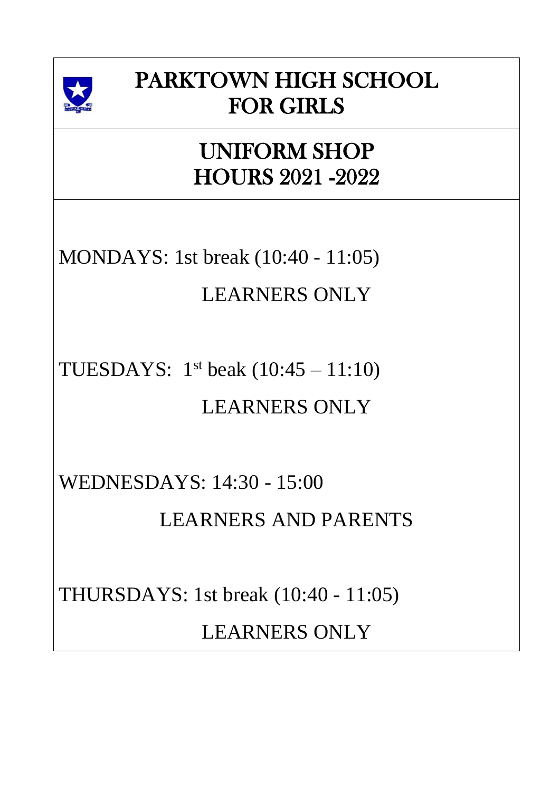

# PARKTOWN HIGH SCHOOL FOR GIRLS

#### UNIFORM SHOP HOURS 2021 -2022

MONDAYS: 1st break (10:40 - 11:05)

# LEARNERS ONLY

TUESDAYS:  $1<sup>st</sup>$  beak  $(10:45 - 11:10)$ 

#### LEARNERS ONLY

WEDNESDAYS: 14:30 - 15:00

LEARNERS AND PARENTS

THURSDAYS: 1st break (10:40 - 11:05)

LEARNERS ONLY